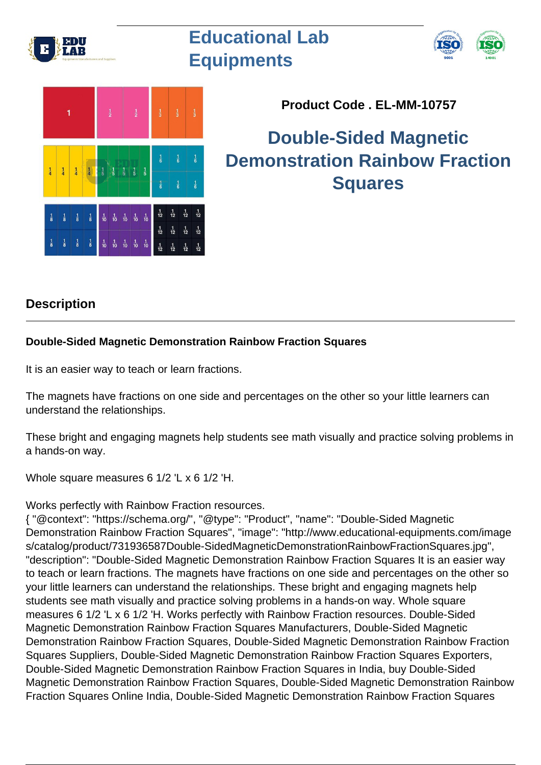

## **Educational Lab Equipments**





**Product Code . EL-MM-10757**

## **Double-Sided Magnetic Demonstration Rainbow Fraction Squares**

## **Description**

## **Double-Sided Magnetic Demonstration Rainbow Fraction Squares**

It is an easier way to teach or learn fractions.

The magnets have fractions on one side and percentages on the other so your little learners can understand the relationships.

These bright and engaging magnets help students see math visually and practice solving problems in a hands-on way.

Whole square measures 6 1/2 'L x 6 1/2 'H.

Works perfectly with Rainbow Fraction resources.

{ "@context": "https://schema.org/", "@type": "Product", "name": "Double-Sided Magnetic Demonstration Rainbow Fraction Squares", "image": "http://www.educational-equipments.com/image s/catalog/product/731936587Double-SidedMagneticDemonstrationRainbowFractionSquares.jpg", "description": "Double-Sided Magnetic Demonstration Rainbow Fraction Squares It is an easier way to teach or learn fractions. The magnets have fractions on one side and percentages on the other so your little learners can understand the relationships. These bright and engaging magnets help students see math visually and practice solving problems in a hands-on way. Whole square measures 6 1/2 'L x 6 1/2 'H. Works perfectly with Rainbow Fraction resources. Double-Sided Magnetic Demonstration Rainbow Fraction Squares Manufacturers, Double-Sided Magnetic Demonstration Rainbow Fraction Squares, Double-Sided Magnetic Demonstration Rainbow Fraction Squares Suppliers, Double-Sided Magnetic Demonstration Rainbow Fraction Squares Exporters, Double-Sided Magnetic Demonstration Rainbow Fraction Squares in India, buy Double-Sided Magnetic Demonstration Rainbow Fraction Squares, Double-Sided Magnetic Demonstration Rainbow Fraction Squares Online India, Double-Sided Magnetic Demonstration Rainbow Fraction Squares